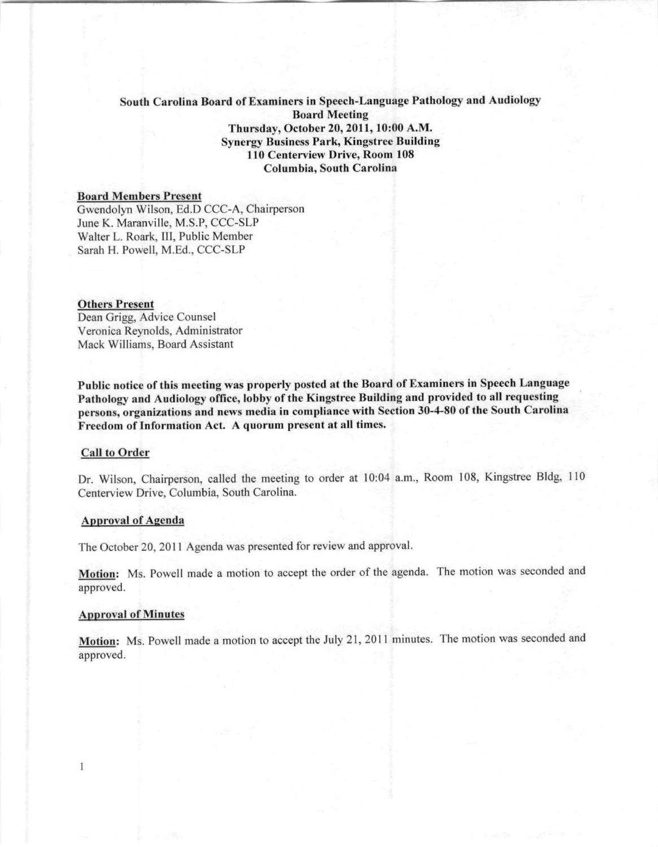# South Carolina Board of Examiners in Speech-Language Pathology and Audiology Board Meeting Thursday, October 20,2011, 10:00 A.M. Synergy Business Park, Kingstree Building 110 Centerview Drive, Room 108 Columbia, South Carolina

# Board Members Present

Gwendolyn Wilson. Ed.D CCC-A. Chairperson June K. Maranville, M.S.P. CCC-SLP Walter L. Roark. III, Public Member Sarah H. Powell, M.Ed., CCC-SLP

#### Others Present

Dean Grigg, Advice Counsel Veronica Reynolds, Administrator Mack Williams. Board Assistant

Public notice of this meeting was properly posted at the Board of Examiners in Speech Language Pathology and Audiology office, lobby of the Kingstree Building and provided to all requesting persons, organizations and news media in compliance with Section 30-4-80 of the South Carolina Freedom of Information Act. A quorum present at all times.

### Call to Order

Dr. Wilson, Chairperson, called the meeting to order at 10:04 a.m., Room 108, Kingstree Bldg, 110 Centerview Drive. Columbia, South Carolina.

#### Approval of Agenda

The October 20, 2011 Agenda was presented for review and approval.

Motion: Ms. Powell made a motion to accept the order of the agenda, The motion was seconded and approved.

# **Approval of Minutes**

 $\mathbf{1}$ 

Motion: Ms. Powell made a motion to accept the July 21, 2011 minutes. The motion was seconded and approved.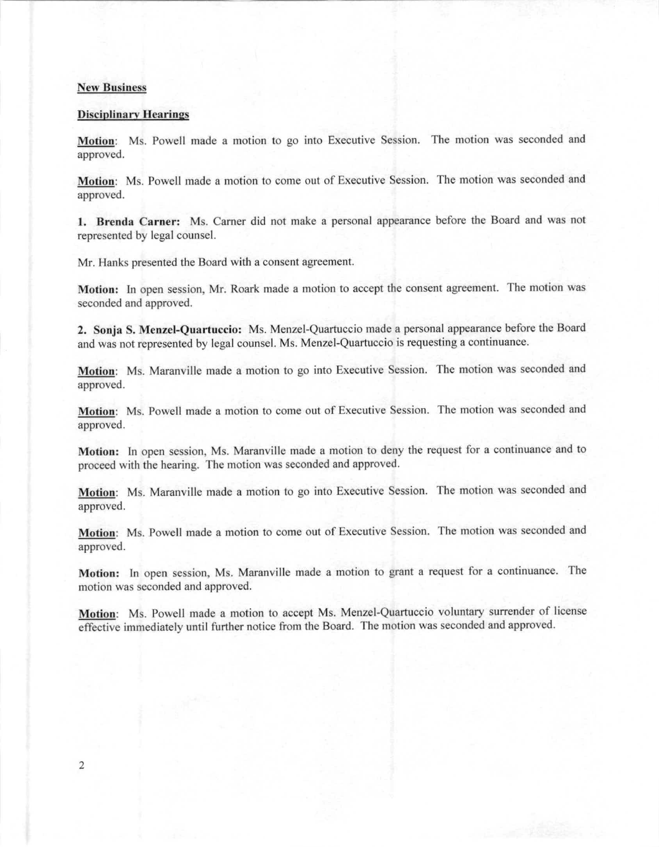#### **New Business**

## **Disciplinary Hearings**

Motion: Ms. Powell made a motion to go into Executive Session. The motion was seconded and approved.

Motion: Ms. Powell made a motion to come out of Executive Session. The motion was seconded and approved.

I. Brenda Carner: Ms. Carner did not make a personal appearance before the Board and was not represented by legal counsel.

Mr. Hanks presented the Board with a consent agreement.

Motion: In open session, Mr. Roark made a motion to accept the consent agreement. The motion was seconded and approved.

2. Sonja S. Menzel-Quartuccio: Ms. Menzel-Quartuccio made a personal appearance before the Board and was not represented by legal counsel. Ms. Menzel-Quartuccio is requesting a continuance.

Motion: Ms. Maranville made a motion to go into Executive Session. The motion was seconded and approved.

Motion: Ms. Powell made a motion to come out of Executive Session. The motion was seconded and approved.

Motion: In open session, Ms. Maranville made a motion to deny the request for a continuance and to proceed with the hearing. The motion was seconded and approved.

Motion: Ms. Maranville made a motion to go into Executive Session. The motion was seconded and approved.

Motion: Ms. Powell made a motion to come out of Executive Session. The motion was seconded and approved.

Motion: In open session, Ms. Maranville made a motion to grant a request for a continuance. The motion was seconded and approved.

Motion: Ms. Powell made a motion to accept Ms. Menzel-Quartuccio voluntary surrender of license effective immediately until further notice from the Board. The motion was seconded and approved.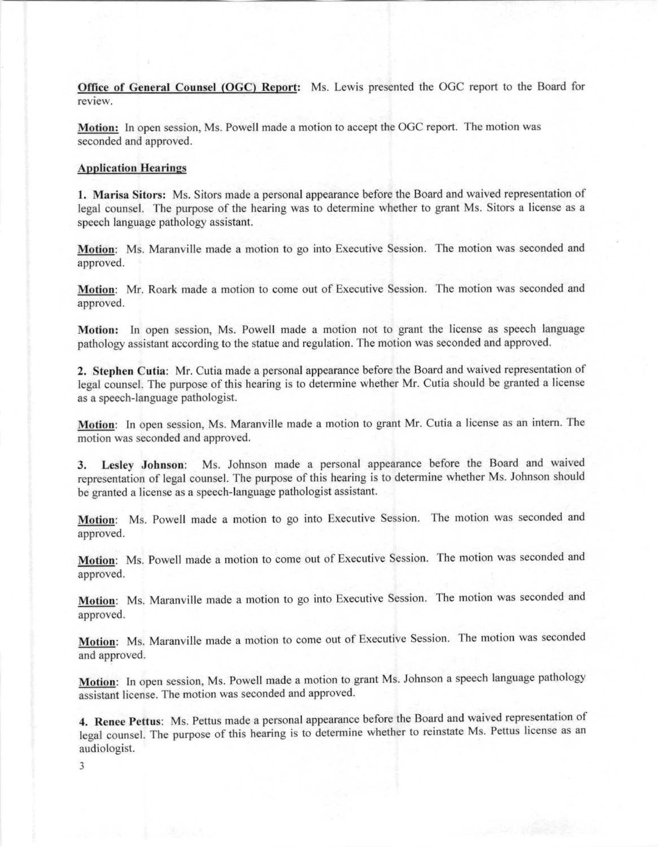Office of General Counsel (OGC) Report: Ms. Lewis presented the OGC report to the Board for **review.**

Motion: In open session, Ms. Powell made a motion to accept the OGC report. The motion was seconded and approved.

### Application Hearings

I. Marisa Sitors: Ms. Sitors made a personal appearance before the Board and waived representation of legal counsel. The purpose of the hearing was to determine whether to grant Ms. Sitors a license as a speech language pathology assistant.

Motion: Ms. Maranville made a motion to go into Executive Session. The motion was seconded and approved.

Motion: Mr. Roark made a motion to come out of Executive Session. The motion was seconded and approved.

Motion: In open session, Ms. Powell made a motion not to grant the license as speech language pathology assistant according to the statue and regulation. The motion was seconded and approved.

2. Stephen Cutia: Mr. Cutia made a personal appearance before the Board and waived representation of legal counsel. The purpose of this hearing is to determine whether Mr. Cutia should be granted a license as a speech-language pathologist.

Motion: In open session, Ms. Maranville made a motion to grant Mr. Cutia a license as an intern. The motion was seconded and approved.

3. Lesley Johnson: Ms. Johnson made a personal appearance before the Board and waived representation of legal counsel. The purpose of this hearing is to determine whether Ms. Johnson should be granted a license as a speech-language pathologist assistant.

Motion: Ms. Powell made a motion to go into Executive Session. The motion was seconded and approved.

Motion: Ms. Powell made a motion to come out of Executive Session. The motion was seconded and approved.

Motion: Ms. Maranville made a motion to go into Executive Session. The motion was seconded and approved.

Motion: Ms. Maranville made a motion to come out of Executive Session. The motion was seconded and approved.

Motion: In open session, Ms. Powell made a motion to grant Ms. Johnson a speech language pathology assistant license. The motion was seconded and approved.

4. Renee Pettus: Ms. Pettus made a personal appearance before the Board and waived representation of legal counsel. The purpose of this hearing is to determine whether to reinstate Ms. Pettus license as an audiologist.

3